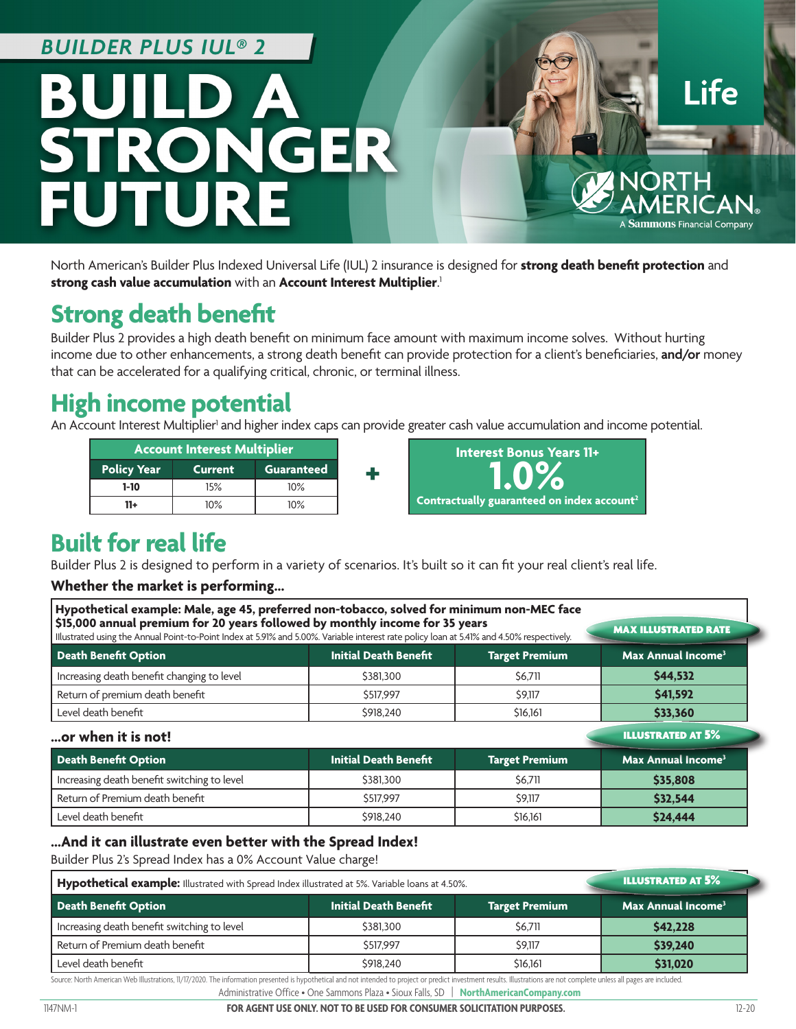### **BUILDER PLUS IUL® 2**



North American's Builder Plus Indexed Universal Life (IUL) 2 insurance is designed for **strong death benefit protection** and **strong cash value accumulation** with an **Account Interest Multiplier**. 1

## **Strong death benefit**

Builder Plus 2 provides a high death benefit on minimum face amount with maximum income solves. Without hurting income due to other enhancements, a strong death benefit can provide protection for a client's beneficiaries, **and/or** money that can be accelerated for a qualifying critical, chronic, or terminal illness.

## **High income potential**

An Account Interest Multiplier<sup>1</sup> and higher index caps can provide greater cash value accumulation and income potential.



## **Built for real life**

Builder Plus 2 is designed to perform in a variety of scenarios. It's built so it can fit your real client's real life.

#### **Whether the market is performing…**

| Hypothetical example: Male, age 45, preferred non-tobacco, solved for minimum non-MEC face<br>\$15,000 annual premium for 20 years followed by monthly income for 35 years<br>Illustrated using the Annual Point-to-Point Index at 5.91% and 5.00%. Variable interest rate policy loan at 5.41% and 4.50% respectively. |                              |                       | <b>MAX ILLUSTRATED RATE</b>          |
|-------------------------------------------------------------------------------------------------------------------------------------------------------------------------------------------------------------------------------------------------------------------------------------------------------------------------|------------------------------|-----------------------|--------------------------------------|
| <b>Death Benefit Option</b>                                                                                                                                                                                                                                                                                             | <b>Initial Death Benefit</b> | <b>Target Premium</b> | Max Annual Income <sup>3</sup>       |
| Increasing death benefit changing to level                                                                                                                                                                                                                                                                              | \$381,300                    | \$6.711               | \$44.532                             |
| Return of premium death benefit                                                                                                                                                                                                                                                                                         | \$517,997                    | \$9,117               | \$41,592                             |
| Level death benefit                                                                                                                                                                                                                                                                                                     | \$918,240                    | \$16,161              | \$33,360                             |
| or when it is not!                                                                                                                                                                                                                                                                                                      |                              |                       | <b>ILLUSTRATED AT 5%</b>             |
| Death Benefit Option                                                                                                                                                                                                                                                                                                    | <b>Initial Death Benefit</b> | <b>Target Premium</b> | <b>Max Annual Income<sup>3</sup></b> |
| Increasing death benefit switching to level                                                                                                                                                                                                                                                                             | \$381,300                    | \$6,711               | \$35,808                             |
| Return of Premium death benefit                                                                                                                                                                                                                                                                                         | \$517,997                    | \$9,117               | \$32.544                             |
| Level death benefit                                                                                                                                                                                                                                                                                                     | \$918,240                    | \$16,161              | \$24,444                             |

#### **…And it can illustrate even better with the Spread Index!**

Builder Plus 2's Spread Index has a 0% Account Value charge!

| Hypothetical example: Illustrated with Spread Index illustrated at 5%. Variable loans at 4.50%. |                              |                       | <b>ILLUSTRATED AT 5%</b>       |
|-------------------------------------------------------------------------------------------------|------------------------------|-----------------------|--------------------------------|
| Death Benefit Option                                                                            | <b>Initial Death Benefit</b> | <b>Target Premium</b> | Max Annual Income <sup>3</sup> |
| Increasing death benefit switching to level                                                     | \$381,300                    | S6.711                | \$42,228                       |
| Return of Premium death benefit                                                                 | \$517,997                    | \$9,117               | \$39,240                       |
| Level death benefit                                                                             | \$918,240                    | \$16,161              | \$31,020                       |

Source: North American Web Illustrations, 11/17/2020. The information presented is hypothetical and not intended to project or predict investment results. Illustrations are not complete unless all pages are included.

Administrative Office • One Sammons Plaza • Sioux Falls, SD | **NorthAmericanCompany.com**

1147NM-1 **FOR AGENT USE ONLY. NOT TO BE USED FOR CONSUMER SOLICITATION PURPOSES.** 12-20

**Life** 

A **Sammons** Financial Company